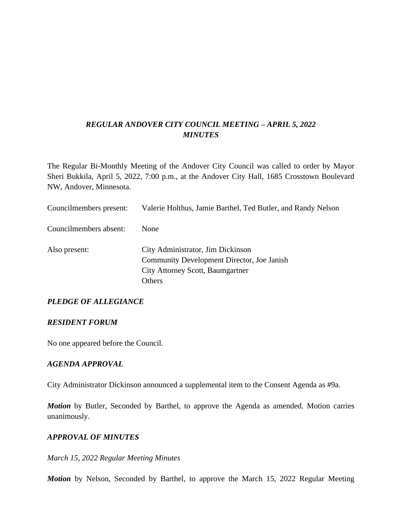## *REGULAR ANDOVER CITY COUNCIL MEETING – APRIL 5, 2022 MINUTES*

The Regular Bi-Monthly Meeting of the Andover City Council was called to order by Mayor Sheri Bukkila, April 5, 2022, 7:00 p.m., at the Andover City Hall, 1685 Crosstown Boulevard NW, Andover, Minnesota.

| Councilmembers present: | Valerie Holthus, Jamie Barthel, Ted Butler, and Randy Nelson                                                                         |
|-------------------------|--------------------------------------------------------------------------------------------------------------------------------------|
| Councilmembers absent:  | <b>None</b>                                                                                                                          |
| Also present:           | City Administrator, Jim Dickinson<br>Community Development Director, Joe Janish<br>City Attorney Scott, Baumgartner<br><b>Others</b> |

## *PLEDGE OF ALLEGIANCE*

#### *RESIDENT FORUM*

No one appeared before the Council.

#### *AGENDA APPROVAL*

City Administrator Dickinson announced a supplemental item to the Consent Agenda as #9a.

*Motion* by Butler, Seconded by Barthel, to approve the Agenda as amended. Motion carries unanimously.

#### *APPROVAL OF MINUTES*

#### *March 15, 2022 Regular Meeting Minutes*

*Motion* by Nelson, Seconded by Barthel, to approve the March 15, 2022 Regular Meeting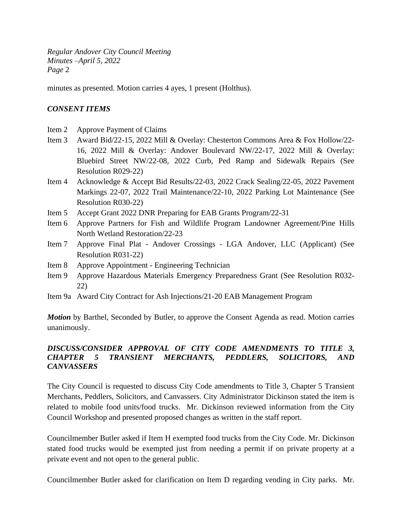minutes as presented. Motion carries 4 ayes, 1 present (Holthus).

#### *CONSENT ITEMS*

- Item 2 Approve Payment of Claims
- Item 3 Award Bid/22-15, 2022 Mill & Overlay: Chesterton Commons Area & Fox Hollow/22- 16, 2022 Mill & Overlay: Andover Boulevard NW/22-17, 2022 Mill & Overlay: Bluebird Street NW/22-08, 2022 Curb, Ped Ramp and Sidewalk Repairs (See Resolution R029-22)
- Item 4 Acknowledge & Accept Bid Results/22-03, 2022 Crack Sealing/22-05, 2022 Pavement Markings 22-07, 2022 Trail Maintenance/22-10, 2022 Parking Lot Maintenance (See Resolution R030-22)
- Item 5 Accept Grant 2022 DNR Preparing for EAB Grants Program/22-31
- Item 6 Approve Partners for Fish and Wildlife Program Landowner Agreement/Pine Hills North Wetland Restoration/22-23
- Item 7 Approve Final Plat Andover Crossings LGA Andover, LLC (Applicant) (See Resolution R031-22)
- Item 8 Approve Appointment Engineering Technician
- Item 9 Approve Hazardous Materials Emergency Preparedness Grant (See Resolution R032- 22)
- Item 9a Award City Contract for Ash Injections/21-20 EAB Management Program

*Motion* by Barthel, Seconded by Butler, to approve the Consent Agenda as read. Motion carries unanimously.

## *DISCUSS/CONSIDER APPROVAL OF CITY CODE AMENDMENTS TO TITLE 3, CHAPTER 5 TRANSIENT MERCHANTS, PEDDLERS, SOLICITORS, AND CANVASSERS*

The City Council is requested to discuss City Code amendments to Title 3, Chapter 5 Transient Merchants, Peddlers, Solicitors, and Canvassers. City Administrator Dickinson stated the item is related to mobile food units/food trucks. Mr. Dickinson reviewed information from the City Council Workshop and presented proposed changes as written in the staff report.

Councilmember Butler asked if Item H exempted food trucks from the City Code. Mr. Dickinson stated food trucks would be exempted just from needing a permit if on private property at a private event and not open to the general public.

Councilmember Butler asked for clarification on Item D regarding vending in City parks. Mr.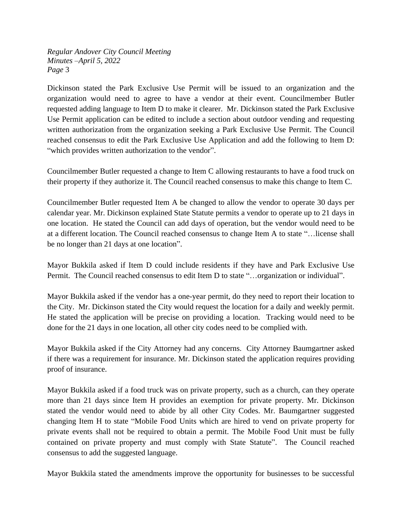Dickinson stated the Park Exclusive Use Permit will be issued to an organization and the organization would need to agree to have a vendor at their event. Councilmember Butler requested adding language to Item D to make it clearer. Mr. Dickinson stated the Park Exclusive Use Permit application can be edited to include a section about outdoor vending and requesting written authorization from the organization seeking a Park Exclusive Use Permit. The Council reached consensus to edit the Park Exclusive Use Application and add the following to Item D: "which provides written authorization to the vendor".

Councilmember Butler requested a change to Item C allowing restaurants to have a food truck on their property if they authorize it. The Council reached consensus to make this change to Item C.

Councilmember Butler requested Item A be changed to allow the vendor to operate 30 days per calendar year. Mr. Dickinson explained State Statute permits a vendor to operate up to 21 days in one location. He stated the Council can add days of operation, but the vendor would need to be at a different location. The Council reached consensus to change Item A to state "…license shall be no longer than 21 days at one location".

Mayor Bukkila asked if Item D could include residents if they have and Park Exclusive Use Permit. The Council reached consensus to edit Item D to state "…organization or individual".

Mayor Bukkila asked if the vendor has a one-year permit, do they need to report their location to the City. Mr. Dickinson stated the City would request the location for a daily and weekly permit. He stated the application will be precise on providing a location. Tracking would need to be done for the 21 days in one location, all other city codes need to be complied with.

Mayor Bukkila asked if the City Attorney had any concerns. City Attorney Baumgartner asked if there was a requirement for insurance. Mr. Dickinson stated the application requires providing proof of insurance.

Mayor Bukkila asked if a food truck was on private property, such as a church, can they operate more than 21 days since Item H provides an exemption for private property. Mr. Dickinson stated the vendor would need to abide by all other City Codes. Mr. Baumgartner suggested changing Item H to state "Mobile Food Units which are hired to vend on private property for private events shall not be required to obtain a permit. The Mobile Food Unit must be fully contained on private property and must comply with State Statute". The Council reached consensus to add the suggested language.

Mayor Bukkila stated the amendments improve the opportunity for businesses to be successful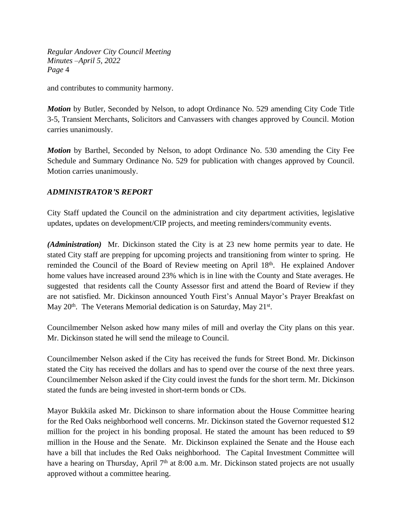and contributes to community harmony.

*Motion* by Butler, Seconded by Nelson, to adopt Ordinance No. 529 amending City Code Title 3-5, Transient Merchants, Solicitors and Canvassers with changes approved by Council. Motion carries unanimously.

*Motion* by Barthel, Seconded by Nelson, to adopt Ordinance No. 530 amending the City Fee Schedule and Summary Ordinance No. 529 for publication with changes approved by Council. Motion carries unanimously.

## *ADMINISTRATOR'S REPORT*

City Staff updated the Council on the administration and city department activities, legislative updates, updates on development/CIP projects, and meeting reminders/community events.

*(Administration)* Mr. Dickinson stated the City is at 23 new home permits year to date. He stated City staff are prepping for upcoming projects and transitioning from winter to spring. He reminded the Council of the Board of Review meeting on April 18<sup>th</sup>. He explained Andover home values have increased around 23% which is in line with the County and State averages. He suggested that residents call the County Assessor first and attend the Board of Review if they are not satisfied. Mr. Dickinson announced Youth First's Annual Mayor's Prayer Breakfast on May 20<sup>th</sup>. The Veterans Memorial dedication is on Saturday, May 21<sup>st</sup>.

Councilmember Nelson asked how many miles of mill and overlay the City plans on this year. Mr. Dickinson stated he will send the mileage to Council.

Councilmember Nelson asked if the City has received the funds for Street Bond. Mr. Dickinson stated the City has received the dollars and has to spend over the course of the next three years. Councilmember Nelson asked if the City could invest the funds for the short term. Mr. Dickinson stated the funds are being invested in short-term bonds or CDs.

Mayor Bukkila asked Mr. Dickinson to share information about the House Committee hearing for the Red Oaks neighborhood well concerns. Mr. Dickinson stated the Governor requested \$12 million for the project in his bonding proposal. He stated the amount has been reduced to \$9 million in the House and the Senate. Mr. Dickinson explained the Senate and the House each have a bill that includes the Red Oaks neighborhood. The Capital Investment Committee will have a hearing on Thursday, April 7<sup>th</sup> at 8:00 a.m. Mr. Dickinson stated projects are not usually approved without a committee hearing.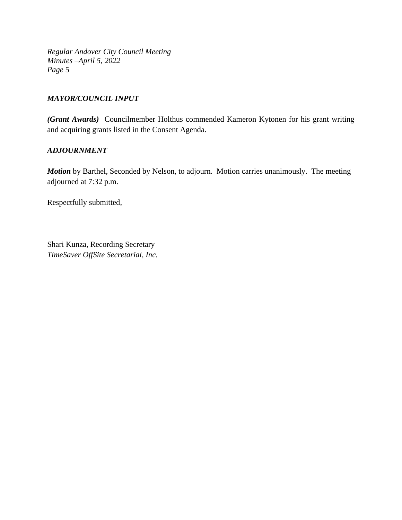### *MAYOR/COUNCIL INPUT*

*(Grant Awards)* Councilmember Holthus commended Kameron Kytonen for his grant writing and acquiring grants listed in the Consent Agenda.

### *ADJOURNMENT*

*Motion* by Barthel, Seconded by Nelson, to adjourn. Motion carries unanimously. The meeting adjourned at 7:32 p.m.

Respectfully submitted,

Shari Kunza, Recording Secretary *TimeSaver OffSite Secretarial, Inc.*